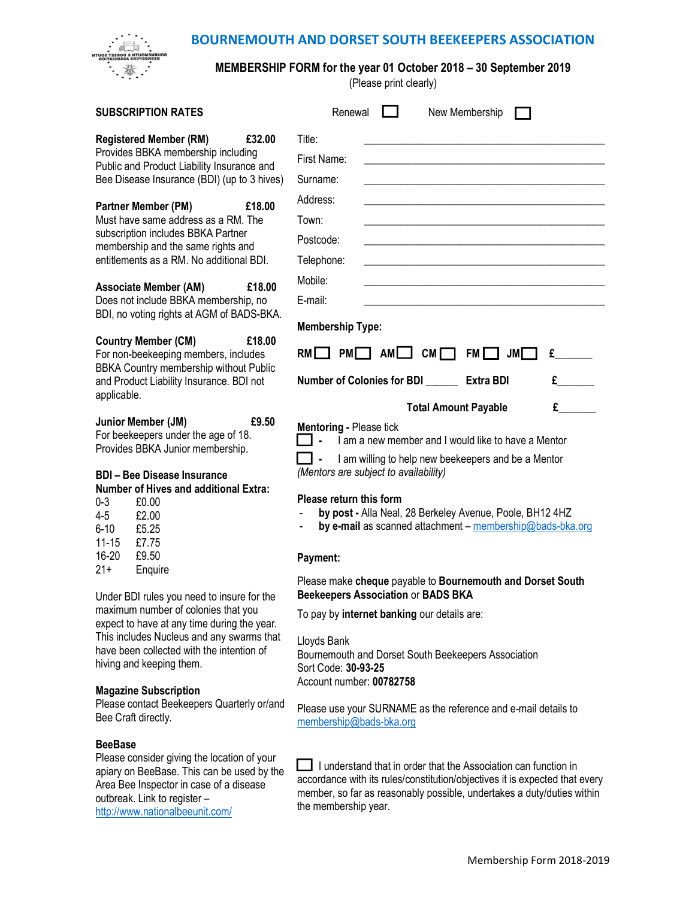## BOURNEMOUTH AND DORSET SOUTH BEEKEEPERS ASSOCIATION



http://www.nationalbeeunit.com/

## MEMBERSHIP FORM for the year 01 October 2018 – 30 September 2019

(Please print clearly)

| <b>SUBSCRIPTION RATES</b>                                                                                                                                                                                                                                                                         | Renewal<br>New Membership                                                                                                                                                                                                                                                                                                                                                                                                        |  |
|---------------------------------------------------------------------------------------------------------------------------------------------------------------------------------------------------------------------------------------------------------------------------------------------------|----------------------------------------------------------------------------------------------------------------------------------------------------------------------------------------------------------------------------------------------------------------------------------------------------------------------------------------------------------------------------------------------------------------------------------|--|
| <b>Registered Member (RM)</b><br>£32.00<br>Provides BBKA membership including<br>Public and Product Liability Insurance and<br>Bee Disease Insurance (BDI) (up to 3 hives)                                                                                                                        | Title:<br>First Name:<br>Surname:                                                                                                                                                                                                                                                                                                                                                                                                |  |
| Partner Member (PM)<br>£18.00<br>Must have same address as a RM. The<br>subscription includes BBKA Partner<br>membership and the same rights and<br>entitlements as a RM. No additional BDI.                                                                                                      | Address:<br>Town:<br>Postcode:<br>Telephone:                                                                                                                                                                                                                                                                                                                                                                                     |  |
| <b>Associate Member (AM)</b><br>£18.00<br>Does not include BBKA membership, no<br>BDI, no voting rights at AGM of BADS-BKA.                                                                                                                                                                       | Mobile:<br>E-mail:<br><b>Membership Type:</b>                                                                                                                                                                                                                                                                                                                                                                                    |  |
| <b>Country Member (CM)</b><br>£18.00<br>For non-beekeeping members, includes<br>BBKA Country membership without Public<br>and Product Liability Insurance. BDI not<br>applicable.                                                                                                                 | $PM$ $AM$ $CM$ $\Box$<br>RMI<br>FM<br>$J$ M $\Box$<br>E<br>Number of Colonies for BDI _______ Extra BDI<br>$\mathbf{f}$                                                                                                                                                                                                                                                                                                          |  |
| £9.50<br>Junior Member (JM)<br>For beekeepers under the age of 18.<br>Provides BBKA Junior membership.<br><b>BDI - Bee Disease Insurance</b><br><b>Number of Hives and additional Extra:</b><br>$0 - 3$<br>£0.00<br>$4 - 5$<br>£2.00<br>£5.25<br>$6 - 10$<br>$11 - 15$<br>£7.75<br>16-20<br>£9.50 | $\mathbf{f}$<br><b>Total Amount Payable</b><br><b>Mentoring - Please tick</b><br>I am a new member and I would like to have a Mentor<br>I am willing to help new beekeepers and be a Mentor<br>(Mentors are subject to availability)<br>Please return this form<br>by post - Alla Neal, 28 Berkeley Avenue, Poole, BH12 4HZ<br>$\overline{\phantom{a}}$<br>by e-mail as scanned attachment - membership@bads-bka.org<br>Payment: |  |
| $21+$<br>Enquire<br>Under BDI rules you need to insure for the<br>maximum number of colonies that you<br>expect to have at any time during the year.<br>This includes Nucleus and any swarms that<br>have been collected with the intention of<br>hiving and keeping them.                        | Please make cheque payable to Bournemouth and Dorset South<br><b>Beekeepers Association or BADS BKA</b><br>To pay by internet banking our details are:<br>Lloyds Bank<br>Bournemouth and Dorset South Beekeepers Association<br>Sort Code: 30-93-25<br>Account number: 00782758                                                                                                                                                  |  |
| <b>Magazine Subscription</b><br>Please contact Beekeepers Quarterly or/and<br>Bee Craft directly.                                                                                                                                                                                                 | Please use your SURNAME as the reference and e-mail details to<br>membership@bads-bka.org                                                                                                                                                                                                                                                                                                                                        |  |
| <b>BeeBase</b><br>Please consider giving the location of your<br>apiary on BeeBase. This can be used by the<br>Area Bee Inspector in case of a disease<br>outbreak. Link to register -                                                                                                            | I understand that in order that the Association can function in<br>accordance with its rules/constitution/objectives it is expected that every<br>member, so far as reasonably possible, undertakes a duty/duties within                                                                                                                                                                                                         |  |

the membership year.